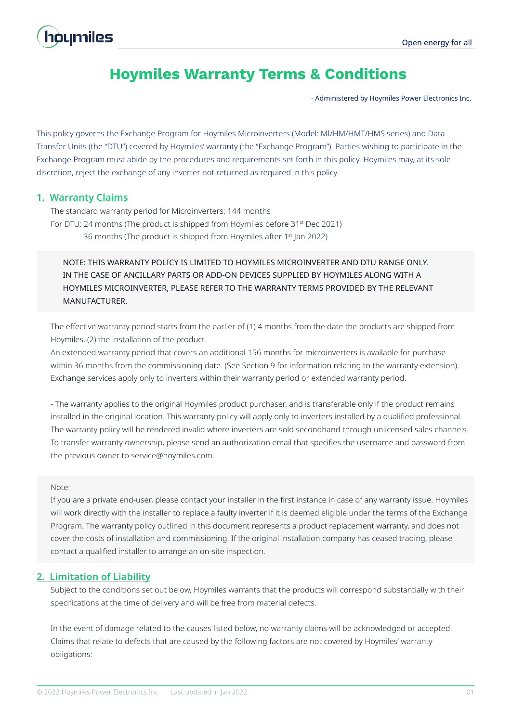# houmiles

# **Hoymiles Warranty Terms & Conditions**

- Administered by Hoymiles Power Electronics Inc.

This policy governs the Exchange Program for Hoymiles Microinverters (Model: MI/HM/HMT/HMS series) and Data Transfer Units (the "DTU") covered by Hoymiles' warranty (the "Exchange Program"). Parties wishing to participate in the Exchange Program must abide by the procedures and requirements set forth in this policy. Hoymiles may, at its sole discretion, reject the exchange of any inverter not returned as required in this policy.

# **1. Warranty Claims**

The standard warranty period for Microinverters: 144 months For DTU: 24 months (The product is shipped from Hoymiles before 31<sup>st</sup> Dec 2021) 36 months (The product is shipped from Hoymiles after 1<sup>st</sup> Jan 2022)

# NOTE: THIS WARRANTY POLICY IS LIMITED TO HOYMILES MICROINVERTER AND DTU RANGE ONLY. IN THE CASE OF ANCILLARY PARTS OR ADD-ON DEVICES SUPPLIED BY HOYMILES ALONG WITH A HOYMILES MICROINVERTER, PLEASE REFER TO THE WARRANTY TERMS PROVIDED BY THE RELEVANT MANUFACTURER.

The effective warranty period starts from the earlier of (1) 4 months from the date the products are shipped from Hoymiles, (2) the installation of the product.

An extended warranty period that covers an additional 156 months for microinverters is available for purchase within 36 months from the commissioning date. (See Section 9 for information relating to the warranty extension). Exchange services apply only to inverters within their warranty period or extended warranty period.

- The warranty applies to the original Hoymiles product purchaser, and is transferable only if the product remains installed in the original location. This warranty policy will apply only to inverters installed by a qualified professional. The warranty policy will be rendered invalid where inverters are sold secondhand through unlicensed sales channels. To transfer warranty ownership, please send an authorization email that specifies the username and password from the previous owner to service@hoymiles.com.

#### Note:

If you are a private end-user, please contact your installer in the first instance in case of any warranty issue. Hoymiles will work directly with the installer to replace a faulty inverter if it is deemed eligible under the terms of the Exchange Program. The warranty policy outlined in this document represents a product replacement warranty, and does not cover the costs of installation and commissioning. If the original installation company has ceased trading, please contact a qualified installer to arrange an on-site inspection.

# **2. Limitation of Liability**

Subject to the conditions set out below, Hoymiles warrants that the products will correspond substantially with their specifications at the time of delivery and will be free from material defects.

In the event of damage related to the causes listed below, no warranty claims will be acknowledged or accepted. Claims that relate to defects that are caused by the following factors are not covered by Hoymiles' warranty obligations: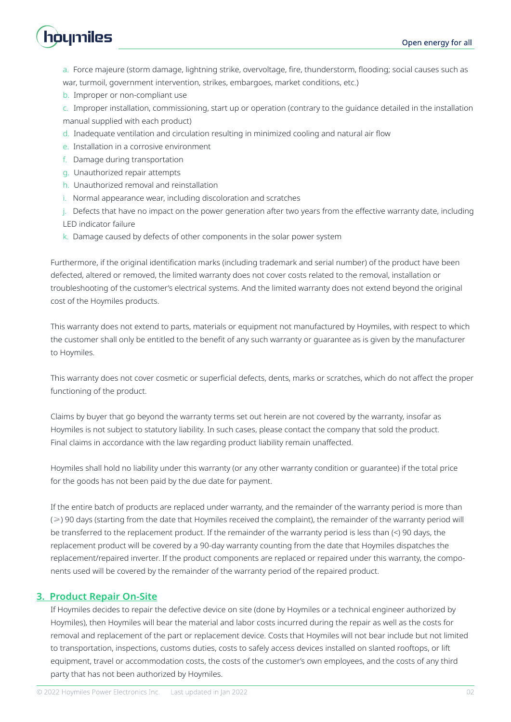

a. Force majeure (storm damage, lightning strike, overvoltage, fire, thunderstorm, flooding; social causes such as war, turmoil, government intervention, strikes, embargoes, market conditions, etc.)

b. Improper or non-compliant use

c. Improper installation, commissioning, start up or operation (contrary to the guidance detailed in the installation manual supplied with each product)

- d. Inadequate ventilation and circulation resulting in minimized cooling and natural air flow
- e. Installation in a corrosive environment
- f. Damage during transportation
- g. Unauthorized repair attempts
- h. Unauthorized removal and reinstallation
- i. Normal appearance wear, including discoloration and scratches
- j. Defects that have no impact on the power generation after two years from the effective warranty date, including

LED indicator failure

k. Damage caused by defects of other components in the solar power system

Furthermore, if the original identification marks (including trademark and serial number) of the product have been defected, altered or removed, the limited warranty does not cover costs related to the removal, installation or troubleshooting of the customer's electrical systems. And the limited warranty does not extend beyond the original cost of the Hoymiles products.

This warranty does not extend to parts, materials or equipment not manufactured by Hoymiles, with respect to which the customer shall only be entitled to the benefit of any such warranty or guarantee as is given by the manufacturer to Hoymiles.

This warranty does not cover cosmetic or superficial defects, dents, marks or scratches, which do not affect the proper functioning of the product.

Claims by buyer that go beyond the warranty terms set out herein are not covered by the warranty, insofar as Hoymiles is not subject to statutory liability. In such cases, please contact the company that sold the product. Final claims in accordance with the law regarding product liability remain unaffected.

Hoymiles shall hold no liability under this warranty (or any other warranty condition or guarantee) if the total price for the goods has not been paid by the due date for payment.

If the entire batch of products are replaced under warranty, and the remainder of the warranty period is more than (≥) 90 days (starting from the date that Hoymiles received the complaint), the remainder of the warranty period will be transferred to the replacement product. If the remainder of the warranty period is less than (<) 90 days, the replacement product will be covered by a 90-day warranty counting from the date that Hoymiles dispatches the replacement/repaired inverter. If the product components are replaced or repaired under this warranty, the components used will be covered by the remainder of the warranty period of the repaired product.

# **3. Product Repair On-Site**

If Hoymiles decides to repair the defective device on site (done by Hoymiles or a technical engineer authorized by Hoymiles), then Hoymiles will bear the material and labor costs incurred during the repair as well as the costs for removal and replacement of the part or replacement device. Costs that Hoymiles will not bear include but not limited to transportation, inspections, customs duties, costs to safely access devices installed on slanted rooftops, or lift equipment, travel or accommodation costs, the costs of the customer's own employees, and the costs of any third party that has not been authorized by Hoymiles.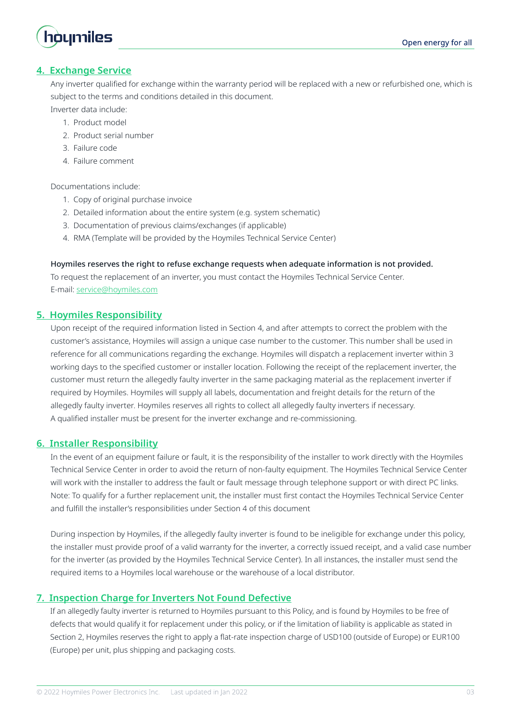

# **4. Exchange Service**

Any inverter qualified for exchange within the warranty period will be replaced with a new or refurbished one, which is subject to the terms and conditions detailed in this document.

Inverter data include:

- 1. Product model
- 2. Product serial number
- 3. Failure code
- 4. Failure comment

Documentations include:

- 1. Copy of original purchase invoice
- 2. Detailed information about the entire system (e.g. system schematic)
- 3. Documentation of previous claims/exchanges (if applicable)
- 4. RMA (Template will be provided by the Hoymiles Technical Service Center)

#### Hoymiles reserves the right to refuse exchange requests when adequate information is not provided.

To request the replacement of an inverter, you must contact the Hoymiles Technical Service Center. E-mail: service@hoymiles.com

#### **5. Hoymiles Responsibility**

Upon receipt of the required information listed in Section 4, and after attempts to correct the problem with the customer's assistance, Hoymiles will assign a unique case number to the customer. This number shall be used in reference for all communications regarding the exchange. Hoymiles will dispatch a replacement inverter within 3 working days to the specified customer or installer location. Following the receipt of the replacement inverter, the customer must return the allegedly faulty inverter in the same packaging material as the replacement inverter if required by Hoymiles. Hoymiles will supply all labels, documentation and freight details for the return of the allegedly faulty inverter. Hoymiles reserves all rights to collect all allegedly faulty inverters if necessary. A qualified installer must be present for the inverter exchange and re-commissioning.

#### **6. Installer Responsibility**

In the event of an equipment failure or fault, it is the responsibility of the installer to work directly with the Hoymiles Technical Service Center in order to avoid the return of non-faulty equipment. The Hoymiles Technical Service Center will work with the installer to address the fault or fault message through telephone support or with direct PC links. Note: To qualify for a further replacement unit, the installer must first contact the Hoymiles Technical Service Center and fulfill the installer's responsibilities under Section 4 of this document

During inspection by Hoymiles, if the allegedly faulty inverter is found to be ineligible for exchange under this policy, the installer must provide proof of a valid warranty for the inverter, a correctly issued receipt, and a valid case number for the inverter (as provided by the Hoymiles Technical Service Center). In all instances, the installer must send the required items to a Hoymiles local warehouse or the warehouse of a local distributor.

# **7. Inspection Charge for Inverters Not Found Defective**

If an allegedly faulty inverter is returned to Hoymiles pursuant to this Policy, and is found by Hoymiles to be free of defects that would qualify it for replacement under this policy, or if the limitation of liability is applicable as stated in Section 2, Hoymiles reserves the right to apply a flat-rate inspection charge of USD100 (outside of Europe) or EUR100 (Europe) per unit, plus shipping and packaging costs.